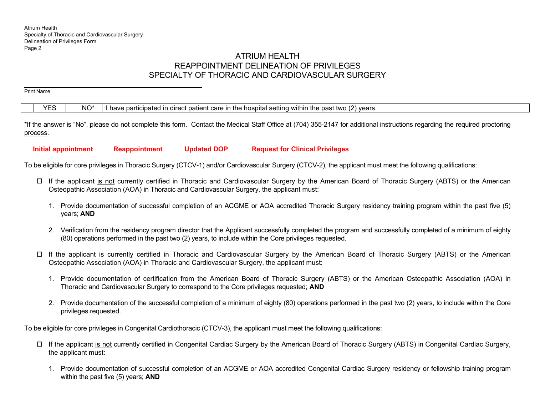Print Name

# ATRIUM HEALTH REAPPOINTMENT DELINEATION OF PRIVILEGES SPECIALTY OF THORACIC AND CARDIOVASCULAR SURGERY

 $YES$   $\parallel$  NO<sup>\*</sup> I have participated in direct patient care in the hospital setting within the past two (2) years.

\*If the answer is "No", please do not complete this form. Contact the Medical Staff Office at (704) 355-2147 for additional instructions regarding the required proctoring process.

 **Initial appointment Reappointment Updated DOP Request for Clinical Privileges** 

To be eligible for core privileges in Thoracic Surgery (CTCV-1) and/or Cardiovascular Surgery (CTCV-2), the applicant must meet the following qualifications:

- □ If the applicant is not currently certified in Thoracic and Cardiovascular Surgery by the American Board of Thoracic Surgery (ABTS) or the American Osteopathic Association (AOA) in Thoracic and Cardiovascular Surgery, the applicant must:
	- 1. Provide documentation of successful completion of an ACGME or AOA accredited Thoracic Surgery residency training program within the past five (5) years; **AND**
	- 2. Verification from the residency program director that the Applicant successfully completed the program and successfully completed of a minimum of eighty (80) operations performed in the past two (2) years, to include within the Core privileges requested.
- ロ If the applicant <u>is</u> currently certified in Thoracic and Cardiovascular Surgery by the American Board of Thoracic Surgery (ABTS) or the American Osteopathic Association (AOA) in Thoracic and Cardiovascular Surgery, the applicant must:
	- 1. Provide documentation of certification from the American Board of Thoracic Surgery (ABTS) or the American Osteopathic Association (AOA) in Thoracic and Cardiovascular Surgery to correspond to the Core privileges requested; **AND**
	- 2. Provide documentation of the successful completion of a minimum of eighty (80) operations performed in the past two (2) years, to include within the Core privileges requested.

To be eligible for core privileges in Congenital Cardiothoracic (CTCV-3), the applicant must meet the following qualifications:

- If the applicant is not currently certified in Congenital Cardiac Surgery by the American Board of Thoracic Surgery (ABTS) in Congenital Cardiac Surgery, the applicant must:
	- 1. Provide documentation of successful completion of an ACGME or AOA accredited Congenital Cardiac Surgery residency or fellowship training program within the past five (5) years; **AND**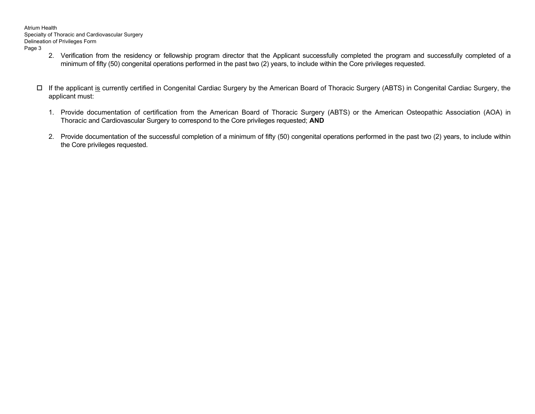- 2. Verification from the residency or fellowship program director that the Applicant successfully completed the program and successfully completed of a minimum of fifty (50) congenital operations performed in the past two (2) years, to include within the Core privileges requested.
- □ If the applicant <u>is</u> currently certified in Congenital Cardiac Surgery by the American Board of Thoracic Surgery (ABTS) in Congenital Cardiac Surgery, the applicant must:
	- 1. Provide documentation of certification from the American Board of Thoracic Surgery (ABTS) or the American Osteopathic Association (AOA) in Thoracic and Cardiovascular Surgery to correspond to the Core privileges requested; **AND**
	- 2. Provide documentation of the successful completion of a minimum of fifty (50) congenital operations performed in the past two (2) years, to include within the Core privileges requested.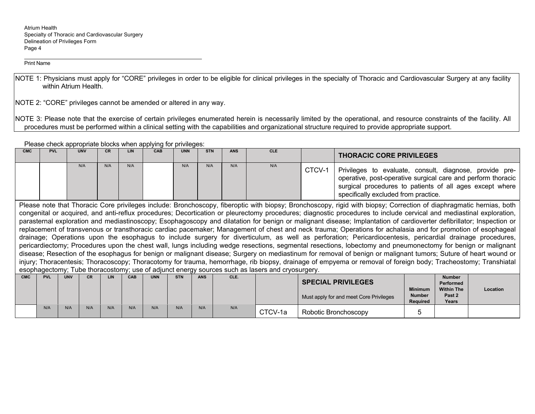Print Name

NOTE 1: Physicians must apply for "CORE" privileges in order to be eligible for clinical privileges in the specialty of Thoracic and Cardiovascular Surgery at any facility within Atrium Health.

NOTE 2: "CORE" privileges cannot be amended or altered in any way.

NOTE 3: Please note that the exercise of certain privileges enumerated herein is necessarily limited by the operational, and resource constraints of the facility. All procedures must be performed within a clinical setting with the capabilities and organizational structure required to provide appropriate support.

Please check appropriate blocks when applying for privileges:

| <b>CMC</b> | <b>PVL</b>                                                                                                                                                           |            | <b>UNV</b> | CR   | <b>LIN</b> | CAB        | <b>UNN</b> | <b>STN</b> | <b>ANS</b> | <b>CLE</b>                                                                                      |        | <b>THORACIC CORE PRIVILEGES</b>                                                                                                                                                                                             |                                                    |                                                 |          |
|------------|----------------------------------------------------------------------------------------------------------------------------------------------------------------------|------------|------------|------|------------|------------|------------|------------|------------|-------------------------------------------------------------------------------------------------|--------|-----------------------------------------------------------------------------------------------------------------------------------------------------------------------------------------------------------------------------|----------------------------------------------------|-------------------------------------------------|----------|
|            |                                                                                                                                                                      |            | N/A        | N/A  | N/A        |            | N/A        | N/A        | N/A        | N/A                                                                                             | CTCV-1 | Privileges to evaluate, consult, diagnose, provide pre-<br>operative, post-operative surgical care and perform thoracic<br>surgical procedures to patients of all ages except where<br>specifically excluded from practice. |                                                    |                                                 |          |
|            | Please note that Thoracic Core privileges include: Bronchoscopy, fiberoptic with biopsy; Bronchoscopy, rigid with biopsy; Correction of diaphragmatic hernias, both  |            |            |      |            |            |            |            |            |                                                                                                 |        |                                                                                                                                                                                                                             |                                                    |                                                 |          |
|            | congenital or acquired, and anti-reflux procedures; Decortication or pleurectomy procedures; diagnostic procedures to include cervical and mediastinal exploration,  |            |            |      |            |            |            |            |            |                                                                                                 |        |                                                                                                                                                                                                                             |                                                    |                                                 |          |
|            | parasternal exploration and mediastinoscopy; Esophagoscopy and dilatation for benign or malignant disease; Implantation of cardioverter defibrillator; Inspection or |            |            |      |            |            |            |            |            |                                                                                                 |        |                                                                                                                                                                                                                             |                                                    |                                                 |          |
|            | replacement of transvenous or transthoracic cardiac pacemaker; Management of chest and neck trauma; Operations for achalasia and for promotion of esophageal         |            |            |      |            |            |            |            |            |                                                                                                 |        |                                                                                                                                                                                                                             |                                                    |                                                 |          |
|            |                                                                                                                                                                      |            |            |      |            |            |            |            |            |                                                                                                 |        | drainage; Operations upon the esophagus to include surgery for diverticulum, as well as perforation; Pericardiocentesis, pericardial drainage procedures,                                                                   |                                                    |                                                 |          |
|            |                                                                                                                                                                      |            |            |      |            |            |            |            |            |                                                                                                 |        | pericardiectomy; Procedures upon the chest wall, lungs including wedge resections, segmental resections, lobectomy and pneumonectomy for benign or malignant                                                                |                                                    |                                                 |          |
|            |                                                                                                                                                                      |            |            |      |            |            |            |            |            |                                                                                                 |        | disease; Resection of the esophagus for benign or malignant disease; Surgery on mediastinum for removal of benign or malignant tumors; Suture of heart wound or                                                             |                                                    |                                                 |          |
|            |                                                                                                                                                                      |            |            |      |            |            |            |            |            |                                                                                                 |        | injury; Thoracentesis; Thoracoscopy; Thoracotomy for trauma, hemorrhage, rib biopsy, drainage of empyema or removal of foreign body; Tracheostomy; Transhiatal                                                              |                                                    |                                                 |          |
|            |                                                                                                                                                                      |            |            |      |            |            |            |            |            | esophagectomy; Tube thoracostomy; use of adjunct energy sources such as lasers and cryosurgery. |        |                                                                                                                                                                                                                             |                                                    |                                                 |          |
| <b>CMC</b> | <b>PVL</b>                                                                                                                                                           | <b>UNV</b> | CR.        | LIN. | CAB        | <b>UNN</b> | <b>STN</b> | <b>ANS</b> | CLE.       |                                                                                                 |        | <b>SPECIAL PRIVILEGES</b>                                                                                                                                                                                                   |                                                    | <b>Number</b><br><b>Performed</b>               |          |
|            |                                                                                                                                                                      |            |            |      |            |            |            |            |            |                                                                                                 |        | Must apply for and meet Core Privileges                                                                                                                                                                                     | <b>Minimum</b><br><b>Number</b><br><b>Required</b> | <b>Within The</b><br>Past <sub>2</sub><br>Years | Location |
|            | N/A                                                                                                                                                                  | N/A        | N/A        | N/A  | N/A        | N/A        | N/A        | N/A        | N/A        | CTCV-1a                                                                                         |        | Robotic Bronchoscopy                                                                                                                                                                                                        |                                                    |                                                 |          |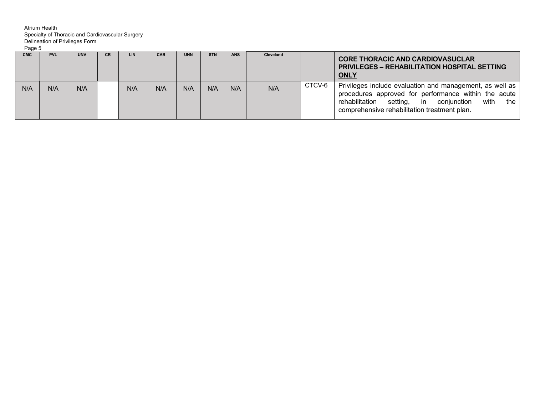| Page 5<br><b>CMC</b> | <b>PVL</b> | <b>UNV</b> | <b>CR</b> | <b>LIN</b> | CAB | <b>UNN</b> | <b>STN</b> | <b>ANS</b> | Cleveland |        | <b>CORE THORACIC AND CARDIOVASUCLAR</b><br><b>PRIVILEGES – REHABILITATION HOSPITAL SETTING</b><br><b>ONLY</b>                                                                                                             |
|----------------------|------------|------------|-----------|------------|-----|------------|------------|------------|-----------|--------|---------------------------------------------------------------------------------------------------------------------------------------------------------------------------------------------------------------------------|
| N/A                  | N/A        | N/A        |           | N/A        | N/A | N/A        | N/A        | N/A        | N/A       | CTCV-6 | Privileges include evaluation and management, as well as<br>procedures approved for performance within the acute<br>rehabilitation setting, in conjunction<br>with<br>the<br>comprehensive rehabilitation treatment plan. |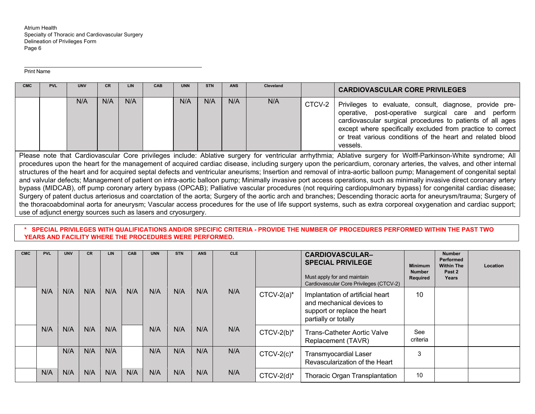Print Name

| <b>CMC</b>                                                                                                                                                                                                                                                                                                                                                                                                                                                                                                                                                                                                                                                                                                                                                                                                                                                                                                                                                                                                                                                                                                                                                                                                                                                                 | <b>PVL</b> | <b>UNV</b> | <b>CR</b> | LIN | CAB | <b>UNN</b> | <b>STN</b> | <b>ANS</b> | <b>Cleveland</b> |        | <b>CARDIOVASCULAR CORE PRIVILEGES</b>                                                                                                                                                                                                                                                                                 |
|----------------------------------------------------------------------------------------------------------------------------------------------------------------------------------------------------------------------------------------------------------------------------------------------------------------------------------------------------------------------------------------------------------------------------------------------------------------------------------------------------------------------------------------------------------------------------------------------------------------------------------------------------------------------------------------------------------------------------------------------------------------------------------------------------------------------------------------------------------------------------------------------------------------------------------------------------------------------------------------------------------------------------------------------------------------------------------------------------------------------------------------------------------------------------------------------------------------------------------------------------------------------------|------------|------------|-----------|-----|-----|------------|------------|------------|------------------|--------|-----------------------------------------------------------------------------------------------------------------------------------------------------------------------------------------------------------------------------------------------------------------------------------------------------------------------|
|                                                                                                                                                                                                                                                                                                                                                                                                                                                                                                                                                                                                                                                                                                                                                                                                                                                                                                                                                                                                                                                                                                                                                                                                                                                                            |            | N/A        | N/A       | N/A |     | N/A        | N/A        | N/A        | N/A              | CTCV-2 | Privileges to evaluate, consult, diagnose, provide pre-<br>operative, post-operative surgical care and perform<br>cardiovascular surgical procedures to patients of all ages<br>except where specifically excluded from practice to correct<br>or treat various conditions of the heart and related blood<br>vessels. |
| Please note that Cardiovascular Core privileges include: Ablative surgery for ventricular arrhythmia; Ablative surgery for Wolff-Parkinson-White syndrome; All<br>procedures upon the heart for the management of acquired cardiac disease, including surgery upon the pericardium, coronary arteries, the valves, and other internal<br>structures of the heart and for acquired septal defects and ventricular aneurisms; Insertion and removal of intra-aortic balloon pump; Management of congenital septal<br>and valvular defects; Management of patient on intra-aortic balloon pump; Minimally invasive port access operations, such as minimally invasive direct coronary artery<br>bypass (MIDCAB), off pump coronary artery bypass (OPCAB); Palliative vascular procedures (not requiring cardiopulmonary bypass) for congenital cardiac disease;<br>Surgery of patent ductus arteriosus and coarctation of the aorta; Surgery of the aortic arch and branches; Descending thoracic aorta for aneurysm/trauma; Surgery of<br>the thoracoabdominal aorta for aneurysm; Vascular access procedures for the use of life support systems, such as extra corporeal oxygenation and cardiac support;<br>use of adjunct energy sources such as lasers and cryosurgery. |            |            |           |     |     |            |            |            |                  |        |                                                                                                                                                                                                                                                                                                                       |

**\* SPECIAL PRIVILEGES WITH QUALIFICATIONS AND/OR SPECIFIC CRITERIA - PROVIDE THE NUMBER OF PROCEDURES PERFORMED WITHIN THE PAST TWO YEARS AND FACILITY WHERE THE PROCEDURES WERE PERFORMED.** 

| <b>CMC</b> | <b>PVL</b> | <b>UNV</b> | <b>CR</b> | <b>LIN</b> | CAB | <b>UNN</b> | <b>STN</b> | <b>ANS</b> | <b>CLE</b> |               | <b>CARDIOVASCULAR-</b><br><b>SPECIAL PRIVILEGE</b><br>Must apply for and maintain<br>Cardiovascular Core Privileges (CTCV-2) | <b>Minimum</b><br><b>Number</b><br>Required | <b>Number</b><br>Performed<br><b>Within The</b><br>Past 2<br>Years | <b>Location</b> |
|------------|------------|------------|-----------|------------|-----|------------|------------|------------|------------|---------------|------------------------------------------------------------------------------------------------------------------------------|---------------------------------------------|--------------------------------------------------------------------|-----------------|
|            | N/A        | N/A        | N/A       | N/A        | N/A | N/A        | N/A        | N/A        | N/A        | $CTCV-2(a)^*$ | Implantation of artificial heart<br>and mechanical devices to<br>support or replace the heart<br>partially or totally        | 10                                          |                                                                    |                 |
|            | N/A        | N/A        | N/A       | N/A        |     | N/A        | N/A        | N/A        | N/A        | $CTCV-2(b)^*$ | <b>Trans-Catheter Aortic Valve</b><br>Replacement (TAVR)                                                                     | See<br>criteria                             |                                                                    |                 |
|            |            | N/A        | N/A       | N/A        |     | N/A        | N/A        | N/A        | N/A        | $CTCV-2(c)^*$ | <b>Transmyocardial Laser</b><br>Revascularization of the Heart                                                               | 3                                           |                                                                    |                 |
|            | N/A        | N/A        | N/A       | N/A        | N/A | N/A        | N/A        | N/A        | N/A        | $CTCV-2(d)^*$ | Thoracic Organ Transplantation                                                                                               | 10                                          |                                                                    |                 |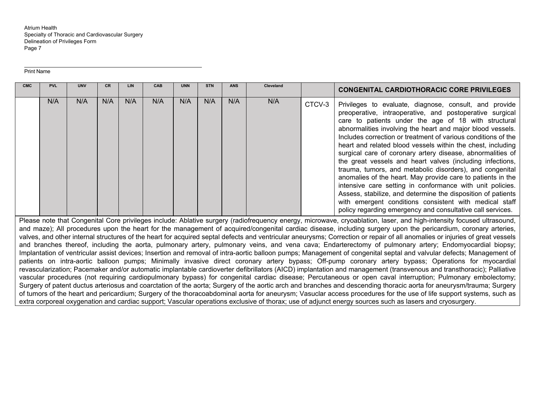#### Print Name

| <b>CMC</b>                                                                                                                                                                                                                                                                                                                                                                                                                                                                                                                                                                                                                                                                        | <b>PVL</b> | <b>UNV</b> | CR. | LIN | CAB | <b>UNN</b> | <b>STN</b> | <b>ANS</b> | Cleveland |        | <b>CONGENITAL CARDIOTHORACIC CORE PRIVILEGES</b>                                                                                                                                                                                                                                                                                                                                                                                                                                                                                                                                                                                                                                                                                                                                                                                                                                    |
|-----------------------------------------------------------------------------------------------------------------------------------------------------------------------------------------------------------------------------------------------------------------------------------------------------------------------------------------------------------------------------------------------------------------------------------------------------------------------------------------------------------------------------------------------------------------------------------------------------------------------------------------------------------------------------------|------------|------------|-----|-----|-----|------------|------------|------------|-----------|--------|-------------------------------------------------------------------------------------------------------------------------------------------------------------------------------------------------------------------------------------------------------------------------------------------------------------------------------------------------------------------------------------------------------------------------------------------------------------------------------------------------------------------------------------------------------------------------------------------------------------------------------------------------------------------------------------------------------------------------------------------------------------------------------------------------------------------------------------------------------------------------------------|
|                                                                                                                                                                                                                                                                                                                                                                                                                                                                                                                                                                                                                                                                                   | N/A        | N/A        | N/A | N/A | N/A | N/A        | N/A        | N/A        | N/A       | CTCV-3 | Privileges to evaluate, diagnose, consult, and provide<br>preoperative, intraoperative, and postoperative surgical<br>care to patients under the age of 18 with structural<br>abnormalities involving the heart and major blood vessels.<br>Includes correction or treatment of various conditions of the<br>heart and related blood vessels within the chest, including<br>surgical care of coronary artery disease, abnormalities of<br>the great vessels and heart valves (including infections,<br>trauma, tumors, and metabolic disorders), and congenital<br>anomalies of the heart. May provide care to patients in the<br>intensive care setting in conformance with unit policies.<br>Assess, stabilize, and determine the disposition of patients<br>with emergent conditions consistent with medical staff<br>policy regarding emergency and consultative call services. |
| Please note that Congenital Core privileges include: Ablative surgery (radiofrequency energy, microwave, cryoablation, laser, and high-intensity focused ultrasound,<br>and maze); All procedures upon the heart for the management of acquired/congenital cardiac disease, including surgery upon the pericardium, coronary arteries,<br>valves, and other internal structures of the heart for acquired septal defects and ventricular aneurysms; Correction or repair of all anomalies or injuries of great vessels<br>and branches thereof, including the aorta, pulmonary artery, pulmonary veins, and vena cava; Endarterectomy of pulmonary artery; Endomyocardial biopsy; |            |            |     |     |     |            |            |            |           |        |                                                                                                                                                                                                                                                                                                                                                                                                                                                                                                                                                                                                                                                                                                                                                                                                                                                                                     |

Implantation of ventricular assist devices; Insertion and removal of intra-aortic balloon pumps; Management of congenital septal and valvular defects; Management of patients on intra-aortic balloon pumps; Minimally invasive direct coronary artery bypass; Off-pump coronary artery bypass; Operations for myocardial revascularization; Pacemaker and/or automatic implantable cardioverter defibrillators (AICD) implantation and management (transvenous and transthoracic); Palliative vascular procedures (not requiring cardiopulmonary bypass) for congenital cardiac disease; Percutaneous or open caval interruption; Pulmonary embolectomy; Surgery of patent ductus arteriosus and coarctation of the aorta; Surgery of the aortic arch and branches and descending thoracic aorta for aneurysm/trauma; Surgery of tumors of the heart and pericardium; Surgery of the thoracoabdominal aorta for aneurysm; Vasuclar access procedures for the use of life support systems, such as extra corporeal oxygenation and cardiac support; Vascular operations exclusive of thorax; use of adjunct energy sources such as lasers and cryosurgery.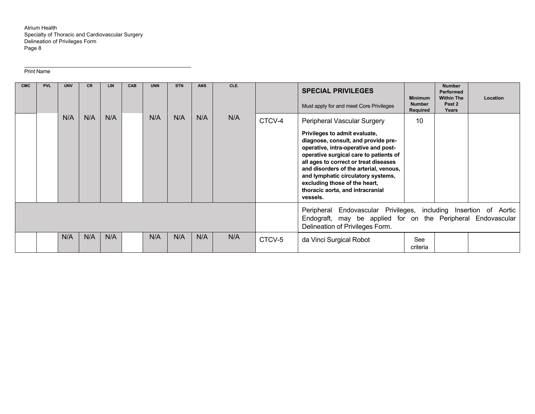Print Name

| <b>CMC</b> | <b>PVL</b> | <b>UNV</b> | CR. | <b>LIN</b> | <b>CAB</b> | <b>UNN</b> | <b>STN</b> | <b>ANS</b> | CLE. |        | <b>SPECIAL PRIVILEGES</b><br>Must apply for and meet Core Privileges                                                                                                                                                                                                                                                                                                                            | <b>Minimum</b><br><b>Number</b><br>Required | <b>Number</b><br>Performed<br><b>Within The</b><br>Past 2<br>Years | Location |  |
|------------|------------|------------|-----|------------|------------|------------|------------|------------|------|--------|-------------------------------------------------------------------------------------------------------------------------------------------------------------------------------------------------------------------------------------------------------------------------------------------------------------------------------------------------------------------------------------------------|---------------------------------------------|--------------------------------------------------------------------|----------|--|
|            |            | N/A        | N/A | N/A        |            | N/A        | N/A        | N/A        | N/A  | CTCV-4 | Peripheral Vascular Surgery<br>Privileges to admit evaluate,<br>diagnose, consult, and provide pre-<br>operative, intra-operative and post-<br>operative surgical care to patients of<br>all ages to correct or treat diseases<br>and disorders of the arterial, venous,<br>and lymphatic circulatory systems,<br>excluding those of the heart,<br>thoracic aorta, and intracranial<br>vessels. | 10                                          |                                                                    |          |  |
|            |            |            |     |            |            |            |            |            |      |        | Peripheral Endovascular Privileges, including Insertion of Aortic<br>Endograft, may be applied for on the Peripheral Endovascular<br>Delineation of Privileges Form.                                                                                                                                                                                                                            |                                             |                                                                    |          |  |
|            |            | N/A        | N/A | N/A        |            | N/A        | N/A        | N/A        | N/A  | CTCV-5 | da Vinci Surgical Robot                                                                                                                                                                                                                                                                                                                                                                         | See<br>criteria                             |                                                                    |          |  |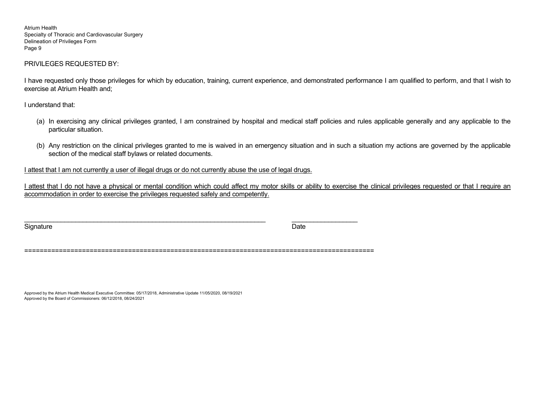# PRIVILEGES REQUESTED BY:

I have requested only those privileges for which by education, training, current experience, and demonstrated performance I am qualified to perform, and that I wish to exercise at Atrium Health and;

I understand that:

- (a) In exercising any clinical privileges granted, I am constrained by hospital and medical staff policies and rules applicable generally and any applicable to the particular situation.
- (b) Any restriction on the clinical privileges granted to me is waived in an emergency situation and in such a situation my actions are governed by the applicable section of the medical staff bylaws or related documents.

I attest that I am not currently a user of illegal drugs or do not currently abuse the use of legal drugs.

I attest that I do not have a physical or mental condition which could affect my motor skills or ability to exercise the clinical privileges requested or that I require an accommodation in order to exercise the privileges requested safely and competently.

Signature Date of the Date of the Date of the Date of the Date of the Date of the Date of the Date of the Date

===========================================================================================

Approved by the Atrium Health Medical Executive Committee: 05/17/2018, Administrative Update 11/05/2020, 08/19/2021 Approved by the Board of Commissioners: 06/12/2018, 08/24/2021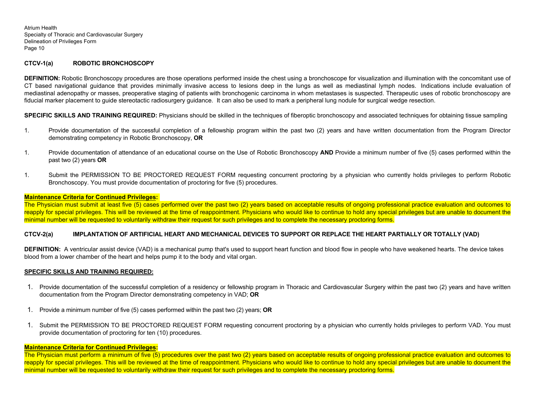## **CTCV-1(a) ROBOTIC BRONCHOSCOPY**

**DEFINITION:** Robotic Bronchoscopy procedures are those operations performed inside the chest using a bronchoscope for visualization and illumination with the concomitant use of CT based navigational guidance that provides minimally invasive access to lesions deep in the lungs as well as mediastinal lymph nodes. Indications include evaluation of mediastinal adenopathy or masses, preoperative staging of patients with bronchogenic carcinoma in whom metastases is suspected. Therapeutic uses of robotic bronchoscopy are fiducial marker placement to guide stereotactic radiosurgery guidance. It can also be used to mark a peripheral lung nodule for surgical wedge resection.

**SPECIFIC SKILLS AND TRAINING REQUIRED:** Physicians should be skilled in the techniques of fiberoptic bronchoscopy and associated techniques for obtaining tissue sampling

- 1. Provide documentation of the successful completion of a fellowship program within the past two (2) years and have written documentation from the Program Director demonstrating competency in Robotic Bronchoscopy, **OR**
- 1. Provide documentation of attendance of an educational course on the Use of Robotic Bronchoscopy **AND** Provide a minimum number of five (5) cases performed within the past two (2) years **OR**
- 1. Submit the PERMISSION TO BE PROCTORED REQUEST FORM requesting concurrent proctoring by a physician who currently holds privileges to perform Robotic Bronchoscopy. You must provide documentation of proctoring for five (5) procedures.

#### **Maintenance Criteria for Continued Privileges:**

The Physician must submit at least five (5) cases performed over the past two (2) years based on acceptable results of ongoing professional practice evaluation and outcomes to reapply for special privileges. This will be reviewed at the time of reappointment. Physicians who would like to continue to hold any special privileges but are unable to document the minimal number will be requested to voluntarily withdraw their request for such privileges and to complete the necessary proctoring forms.

## **CTCV-2(a) IMPLANTATION OF ARTIFICIAL HEART AND MECHANICAL DEVICES TO SUPPORT OR REPLACE THE HEART PARTIALLY OR TOTALLY (VAD)**

**DEFINITION:** A ventricular assist device (VAD) is a mechanical pump that's used to support heart function and blood flow in people who have weakened hearts. The device takes blood from a lower chamber of the heart and helps pump it to the body and vital organ.

#### **SPECIFIC SKILLS AND TRAINING REQUIRED:**

- 1. Provide documentation of the successful completion of a residency or fellowship program in Thoracic and Cardiovascular Surgery within the past two (2) years and have written documentation from the Program Director demonstrating competency in VAD; **OR**
- 1. Provide a minimum number of five (5) cases performed within the past two (2) years; **OR**
- 1. Submit the PERMISSION TO BE PROCTORED REQUEST FORM requesting concurrent proctoring by a physician who currently holds privileges to perform VAD. You must provide documentation of proctoring for ten (10) procedures.

#### **Maintenance Criteria for Continued Privileges:**

The Physician must perform a minimum of five (5) procedures over the past two (2) years based on acceptable results of ongoing professional practice evaluation and outcomes to reapply for special privileges. This will be reviewed at the time of reappointment. Physicians who would like to continue to hold any special privileges but are unable to document the minimal number will be requested to voluntarily withdraw their request for such privileges and to complete the necessary proctoring forms.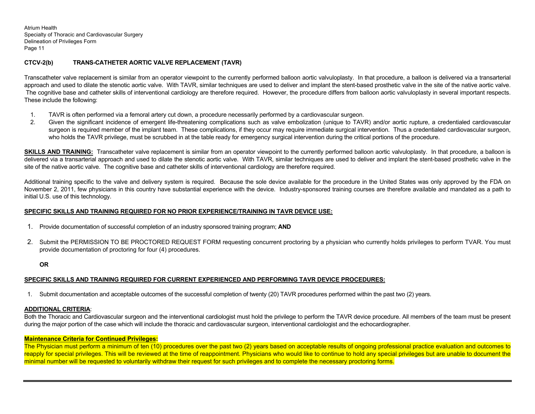# **CTCV-2(b) TRANS-CATHETER AORTIC VALVE REPLACEMENT (TAVR)**

Transcatheter valve replacement is similar from an operator viewpoint to the currently performed balloon aortic valvuloplasty. In that procedure, a balloon is delivered via a transarterial approach and used to dilate the stenotic aortic valve. With TAVR, similar techniques are used to deliver and implant the stent-based prosthetic valve in the site of the native aortic valve. The cognitive base and catheter skills of interventional cardiology are therefore required. However, the procedure differs from balloon aortic valvuloplasty in several important respects. These include the following:

- 1. TAVR is often performed via a femoral artery cut down, a procedure necessarily performed by a cardiovascular surgeon.
- 2. Given the significant incidence of emergent life-threatening complications such as valve embolization (unique to TAVR) and/or aortic rupture, a credentialed cardiovascular surgeon is required member of the implant team. These complications, if they occur may require immediate surgical intervention. Thus a credentialed cardiovascular surgeon, who holds the TAVR privilege, must be scrubbed in at the table ready for emergency surgical intervention during the critical portions of the procedure.

**SKILLS AND TRAINING:** Transcatheter valve replacement is similar from an operator viewpoint to the currently performed balloon aortic valvuloplasty. In that procedure, a balloon is delivered via a transarterial approach and used to dilate the stenotic aortic valve. With TAVR, similar techniques are used to deliver and implant the stent-based prosthetic valve in the site of the native aortic valve. The cognitive base and catheter skills of interventional cardiology are therefore required.

Additional training specific to the valve and delivery system is required. Because the sole device available for the procedure in the United States was only approved by the FDA on November 2, 2011, few physicians in this country have substantial experience with the device. Industry-sponsored training courses are therefore available and mandated as a path to initial U.S. use of this technology.

## **SPECIFIC SKILLS AND TRAINING REQUIRED FOR NO PRIOR EXPERIENCE/TRAINING IN TAVR DEVICE USE:**

- 1. Provide documentation of successful completion of an industry sponsored training program; **AND**
- 2. Submit the PERMISSION TO BE PROCTORED REQUEST FORM requesting concurrent proctoring by a physician who currently holds privileges to perform TVAR. You must provide documentation of proctoring for four (4) procedures.

#### **OR**

# **SPECIFIC SKILLS AND TRAINING REQUIRED FOR CURRENT EXPERIENCED AND PERFORMING TAVR DEVICE PROCEDURES:**

1. Submit documentation and acceptable outcomes of the successful completion of twenty (20) TAVR procedures performed within the past two (2) years.

## **ADDITIONAL CRITERIA**:

Both the Thoracic and Cardiovascular surgeon and the interventional cardiologist must hold the privilege to perform the TAVR device procedure. All members of the team must be present during the major portion of the case which will include the thoracic and cardiovascular surgeon, interventional cardiologist and the echocardiographer.

## **Maintenance Criteria for Continued Privileges:**

The Physician must perform a minimum of ten (10) procedures over the past two (2) years based on acceptable results of ongoing professional practice evaluation and outcomes to reapply for special privileges. This will be reviewed at the time of reappointment. Physicians who would like to continue to hold any special privileges but are unable to document the minimal number will be requested to voluntarily withdraw their request for such privileges and to complete the necessary proctoring forms.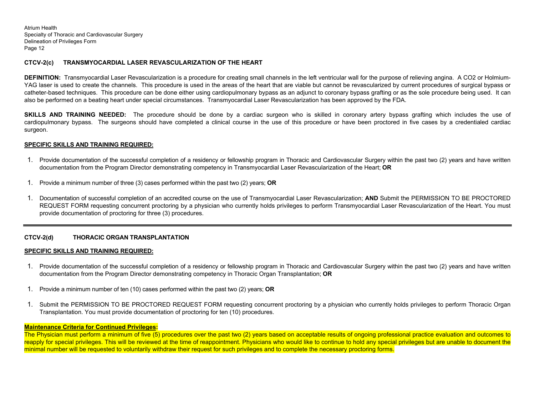## **CTCV-2(c) TRANSMYOCARDIAL LASER REVASCULARIZATION OF THE HEART**

**DEFINITION:** Transmyocardial Laser Revascularization is a procedure for creating small channels in the left ventricular wall for the purpose of relieving angina. A CO2 or Holmium-YAG laser is used to create the channels. This procedure is used in the areas of the heart that are viable but cannot be revascularized by current procedures of surgical bypass or catheter-based techniques. This procedure can be done either using cardiopulmonary bypass as an adjunct to coronary bypass grafting or as the sole procedure being used. It can also be performed on a beating heart under special circumstances. Transmyocardial Laser Revascularization has been approved by the FDA.

**SKILLS AND TRAINING NEEDED:** The procedure should be done by a cardiac surgeon who is skilled in coronary artery bypass grafting which includes the use of cardiopulmonary bypass. The surgeons should have completed a clinical course in the use of this procedure or have been proctored in five cases by a credentialed cardiac surgeon.

## **SPECIFIC SKILLS AND TRAINING REQUIRED:**

- 1. Provide documentation of the successful completion of a residency or fellowship program in Thoracic and Cardiovascular Surgery within the past two (2) years and have written documentation from the Program Director demonstrating competency in Transmyocardial Laser Revascularization of the Heart; **OR**
- 1. Provide a minimum number of three (3) cases performed within the past two (2) years; **OR**
- 1. Documentation of successful completion of an accredited course on the use of Transmyocardial Laser Revascularization; **AND** Submit the PERMISSION TO BE PROCTORED REQUEST FORM requesting concurrent proctoring by a physician who currently holds privileges to perform Transmyocardial Laser Revascularization of the Heart. You must provide documentation of proctoring for three (3) procedures.

## **CTCV-2(d) THORACIC ORGAN TRANSPLANTATION**

#### **SPECIFIC SKILLS AND TRAINING REQUIRED:**

- 1. Provide documentation of the successful completion of a residency or fellowship program in Thoracic and Cardiovascular Surgery within the past two (2) years and have written documentation from the Program Director demonstrating competency in Thoracic Organ Transplantation; **OR**
- 1. Provide a minimum number of ten (10) cases performed within the past two (2) years; **OR**
- 1. Submit the PERMISSION TO BE PROCTORED REQUEST FORM requesting concurrent proctoring by a physician who currently holds privileges to perform Thoracic Organ Transplantation. You must provide documentation of proctoring for ten (10) procedures.

#### **Maintenance Criteria for Continued Privileges:**

The Physician must perform a minimum of five (5) procedures over the past two (2) years based on acceptable results of ongoing professional practice evaluation and outcomes to reapply for special privileges. This will be reviewed at the time of reappointment. Physicians who would like to continue to hold any special privileges but are unable to document the minimal number will be requested to voluntarily withdraw their request for such privileges and to complete the necessary proctoring forms.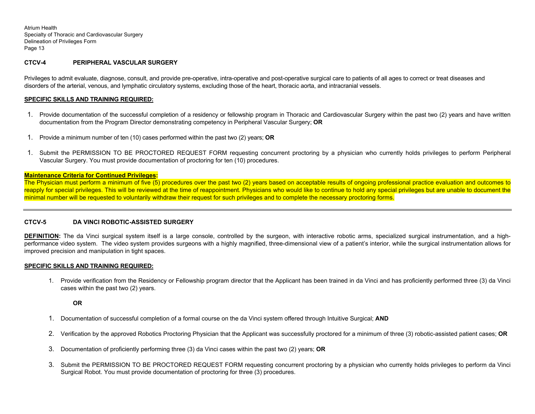## **CTCV-4 PERIPHERAL VASCULAR SURGERY**

Privileges to admit evaluate, diagnose, consult, and provide pre-operative, intra-operative and post-operative surgical care to patients of all ages to correct or treat diseases and disorders of the arterial, venous, and lymphatic circulatory systems, excluding those of the heart, thoracic aorta, and intracranial vessels.

## **SPECIFIC SKILLS AND TRAINING REQUIRED:**

- 1. Provide documentation of the successful completion of a residency or fellowship program in Thoracic and Cardiovascular Surgery within the past two (2) years and have written documentation from the Program Director demonstrating competency in Peripheral Vascular Surgery; **OR**
- 1. Provide a minimum number of ten (10) cases performed within the past two (2) years; **OR**
- 1. Submit the PERMISSION TO BE PROCTORED REQUEST FORM requesting concurrent proctoring by a physician who currently holds privileges to perform Peripheral Vascular Surgery. You must provide documentation of proctoring for ten (10) procedures.

#### **Maintenance Criteria for Continued Privileges:**

The Physician must perform a minimum of five (5) procedures over the past two (2) years based on acceptable results of ongoing professional practice evaluation and outcomes to reapply for special privileges. This will be reviewed at the time of reappointment. Physicians who would like to continue to hold any special privileges but are unable to document the minimal number will be requested to voluntarily withdraw their request for such privileges and to complete the necessary proctoring forms.

## **CTCV-5 DA VINCI ROBOTIC-ASSISTED SURGERY**

**DEFINITION:** The da Vinci surgical system itself is a large console, controlled by the surgeon, with interactive robotic arms, specialized surgical instrumentation, and a highperformance video system. The video system provides surgeons with a highly magnified, three-dimensional view of a patient's interior, while the surgical instrumentation allows for improved precision and manipulation in tight spaces.

#### **SPECIFIC SKILLS AND TRAINING REQUIRED:**

1. Provide verification from the Residency or Fellowship program director that the Applicant has been trained in da Vinci and has proficiently performed three (3) da Vinci cases within the past two (2) years.

## **OR**

- 1. Documentation of successful completion of a formal course on the da Vinci system offered through Intuitive Surgical; **AND**
- 2. Verification by the approved Robotics Proctoring Physician that the Applicant was successfully proctored for a minimum of three (3) robotic-assisted patient cases; **OR**
- 3. Documentation of proficiently performing three (3) da Vinci cases within the past two (2) years; **OR**
- 3. Submit the PERMISSION TO BE PROCTORED REQUEST FORM requesting concurrent proctoring by a physician who currently holds privileges to perform da Vinci Surgical Robot. You must provide documentation of proctoring for three (3) procedures.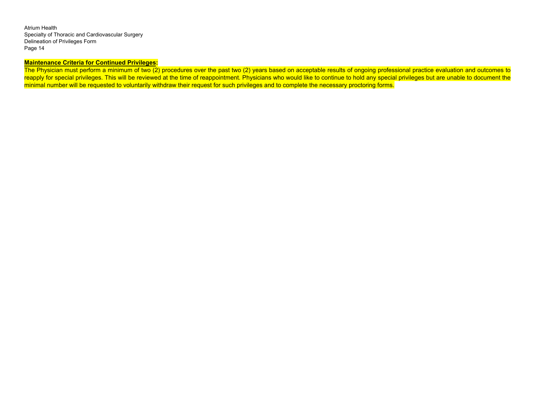# **Maintenance Criteria for Continued Privileges:**

The Physician must perform a minimum of two (2) procedures over the past two (2) years based on acceptable results of ongoing professional practice evaluation and outcomes to reapply for special privileges. This will be reviewed at the time of reappointment. Physicians who would like to continue to hold any special privileges but are unable to document the minimal number will be requested to voluntarily withdraw their request for such privileges and to complete the necessary proctoring forms.